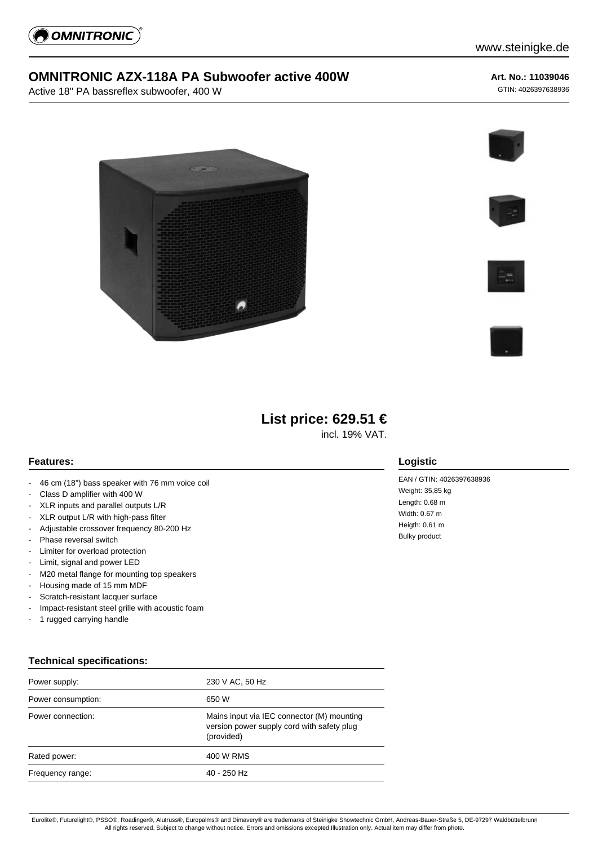

## **OMNITRONIC AZX-118A PA Subwoofer active 400W**

Active 18" PA bassreflex subwoofer, 400 W

#### **Art. No.: 11039046**

GTIN: 4026397638936











# **List price: 629.51 €**

incl. 19% VAT.

#### **Features:**

- 46 cm (18") bass speaker with 76 mm voice coil
- Class D amplifier with 400 W
- XLR inputs and parallel outputs L/R
- XLR output L/R with high-pass filter
- Adjustable crossover frequency 80-200 Hz
- Phase reversal switch
- Limiter for overload protection
- Limit, signal and power LED
- M20 metal flange for mounting top speakers
- Housing made of 15 mm MDF
- Scratch-resistant lacquer surface
- Impact-resistant steel grille with acoustic foam
- 1 rugged carrying handle

#### **Technical specifications:**

| 230 V AC, 50 Hz                                                                                        |
|--------------------------------------------------------------------------------------------------------|
| 650 W                                                                                                  |
| Mains input via IEC connector (M) mounting<br>version power supply cord with safety plug<br>(provided) |
| 400 W RMS                                                                                              |
| 40 - 250 Hz                                                                                            |
|                                                                                                        |

### **Logistic**

EAN / GTIN: 4026397638936 Weight: 35,85 kg Length: 0.68 m Width: 0.67 m Heigth: 0.61 m Bulky product

Eurolite®, Futurelight®, PSSO®, Roadinger®, Alutruss®, Europalms® and Dimavery® are trademarks of Steinigke Showtechnic GmbH, Andreas-Bauer-Straße 5, DE-97297 Waldbüttelbrunn All rights reserved. Subject to change without notice. Errors and omissions excepted.Illustration only. Actual item may differ from photo.